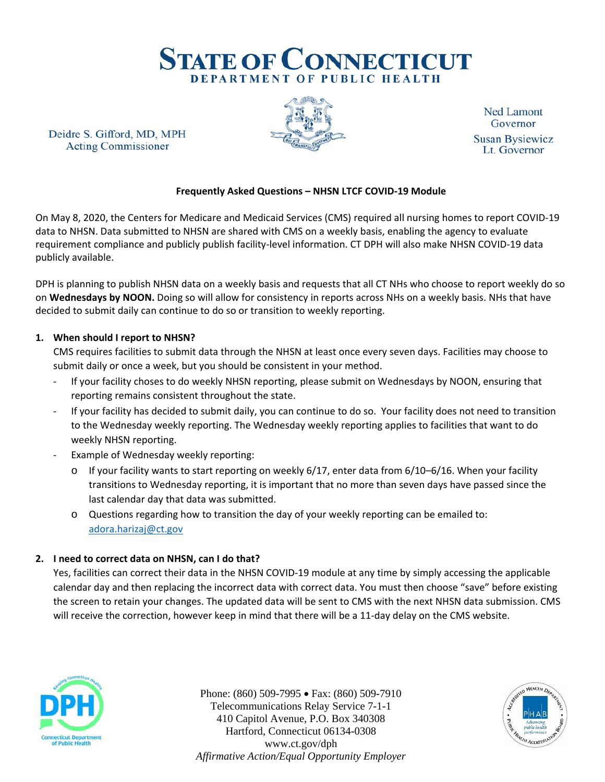

Deidre S. Gifford, MD, MPH **Acting Commissioner** 



**Ned Lamont** Governor **Susan Bysiewicz** Lt. Governor

# **Frequently Asked Questions – NHSN LTCF COVID-19 Module**

On May 8, 2020, the Centers for Medicare and Medicaid Services (CMS) required all nursing homes to report COVID-19 data to NHSN. Data submitted to NHSN are shared with CMS on a weekly basis, enabling the agency to evaluate requirement compliance and publicly publish facility-level information. CT DPH will also make NHSN COVID-19 data publicly available.

DPH is planning to publish NHSN data on a weekly basis and requests that all CT NHs who choose to report weekly do so on **Wednesdays by NOON.** Doing so will allow for consistency in reports across NHs on a weekly basis. NHs that have decided to submit daily can continue to do so or transition to weekly reporting.

#### **1. When should I report to NHSN?**

CMS requires facilities to submit data through the NHSN at least once every seven days. Facilities may choose to submit daily or once a week, but you should be consistent in your method.

- If your facility choses to do weekly NHSN reporting, please submit on Wednesdays by NOON, ensuring that reporting remains consistent throughout the state.
- If your facility has decided to submit daily, you can continue to do so. Your facility does not need to transition to the Wednesday weekly reporting. The Wednesday weekly reporting applies to facilities that want to do weekly NHSN reporting.
- Example of Wednesday weekly reporting:
	- $\circ$  If your facility wants to start reporting on weekly 6/17, enter data from 6/10–6/16. When your facility transitions to Wednesday reporting, it is important that no more than seven days have passed since the last calendar day that data was submitted.
	- o Questions regarding how to transition the day of your weekly reporting can be emailed to: [adora.harizaj@ct.gov](mailto:adora.harizaj@ct.gov)

## **2. I need to correct data on NHSN, can I do that?**

Yes, facilities can correct their data in the NHSN COVID-19 module at any time by simply accessing the applicable calendar day and then replacing the incorrect data with correct data. You must then choose "save" before existing the screen to retain your changes. The updated data will be sent to CMS with the next NHSN data submission. CMS will receive the correction, however keep in mind that there will be a 11-day delay on the CMS website.



Phone: (860) 509-7995 • Fax: (860) 509-7910 Telecommunications Relay Service 7-1-1 410 Capitol Avenue, P.O. Box 340308 Hartford, Connecticut 06134-0308 www.ct.gov/dph *Affirmative Action/Equal Opportunity Employer*